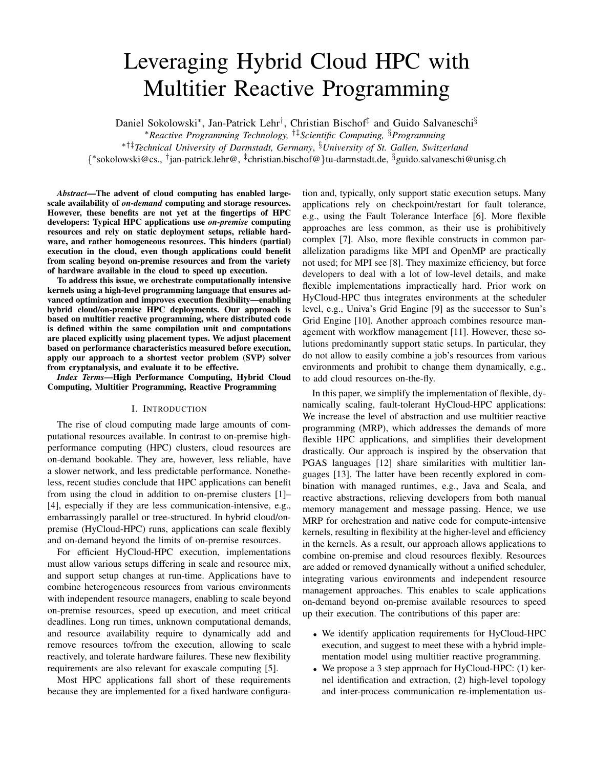# Leveraging Hybrid Cloud HPC with Multitier Reactive Programming

Daniel Sokolowski<sup>∗</sup>, Jan-Patrick Lehr<sup>†</sup>, Christian Bischof<sup>‡</sup> and Guido Salvaneschi<sup>§</sup>

<sup>∗</sup>*Reactive Programming Technology,* †‡*Scientific Computing,* §*Programming*

∗†‡*Technical University of Darmstadt, Germany*, §*University of St. Gallen, Switzerland*

{ ∗ sokolowski@cs., † jan-patrick.lehr@, ‡ christian.bischof@}tu-darmstadt.de, §guido.salvaneschi@unisg.ch

*Abstract*—The advent of cloud computing has enabled largescale availability of *on-demand* computing and storage resources. However, these benefits are not yet at the fingertips of HPC developers: Typical HPC applications use *on-premise* computing resources and rely on static deployment setups, reliable hardware, and rather homogeneous resources. This hinders (partial) execution in the cloud, even though applications could benefit from scaling beyond on-premise resources and from the variety of hardware available in the cloud to speed up execution.

To address this issue, we orchestrate computationally intensive kernels using a high-level programming language that ensures advanced optimization and improves execution flexibility—enabling hybrid cloud/on-premise HPC deployments. Our approach is based on multitier reactive programming, where distributed code is defined within the same compilation unit and computations are placed explicitly using placement types. We adjust placement based on performance characteristics measured before execution, apply our approach to a shortest vector problem (SVP) solver from cryptanalysis, and evaluate it to be effective.

*Index Terms*—High Performance Computing, Hybrid Cloud Computing, Multitier Programming, Reactive Programming

## I. INTRODUCTION

The rise of cloud computing made large amounts of computational resources available. In contrast to on-premise highperformance computing (HPC) clusters, cloud resources are on-demand bookable. They are, however, less reliable, have a slower network, and less predictable performance. Nonetheless, recent studies conclude that HPC applications can benefit from using the cloud in addition to on-premise clusters [\[1\]](#page-5-0)– [\[4\]](#page-5-1), especially if they are less communication-intensive, e.g., embarrassingly parallel or tree-structured. In hybrid cloud/onpremise (HyCloud-HPC) runs, applications can scale flexibly and on-demand beyond the limits of on-premise resources.

For efficient HyCloud-HPC execution, implementations must allow various setups differing in scale and resource mix, and support setup changes at run-time. Applications have to combine heterogeneous resources from various environments with independent resource managers, enabling to scale beyond on-premise resources, speed up execution, and meet critical deadlines. Long run times, unknown computational demands, and resource availability require to dynamically add and remove resources to/from the execution, allowing to scale reactively, and tolerate hardware failures. These new flexibility requirements are also relevant for exascale computing [\[5\]](#page-5-2).

Most HPC applications fall short of these requirements because they are implemented for a fixed hardware configuration and, typically, only support static execution setups. Many applications rely on checkpoint/restart for fault tolerance, e.g., using the Fault Tolerance Interface [\[6\]](#page-5-3). More flexible approaches are less common, as their use is prohibitively complex [\[7\]](#page-5-4). Also, more flexible constructs in common parallelization paradigms like MPI and OpenMP are practically not used; for MPI see [\[8\]](#page-5-5). They maximize efficiency, but force developers to deal with a lot of low-level details, and make flexible implementations impractically hard. Prior work on HyCloud-HPC thus integrates environments at the scheduler level, e.g., Univa's Grid Engine [\[9\]](#page-5-6) as the successor to Sun's Grid Engine [\[10\]](#page-5-7). Another approach combines resource management with workflow management [\[11\]](#page-5-8). However, these solutions predominantly support static setups. In particular, they do not allow to easily combine a job's resources from various environments and prohibit to change them dynamically, e.g., to add cloud resources on-the-fly.

In this paper, we simplify the implementation of flexible, dynamically scaling, fault-tolerant HyCloud-HPC applications: We increase the level of abstraction and use multitier reactive programming (MRP), which addresses the demands of more flexible HPC applications, and simplifies their development drastically. Our approach is inspired by the observation that PGAS languages [\[12\]](#page-5-9) share similarities with multitier languages [\[13\]](#page-5-10). The latter have been recently explored in combination with managed runtimes, e.g., Java and Scala, and reactive abstractions, relieving developers from both manual memory management and message passing. Hence, we use MRP for orchestration and native code for compute-intensive kernels, resulting in flexibility at the higher-level and efficiency in the kernels. As a result, our approach allows applications to combine on-premise and cloud resources flexibly. Resources are added or removed dynamically without a unified scheduler, integrating various environments and independent resource management approaches. This enables to scale applications on-demand beyond on-premise available resources to speed up their execution. The contributions of this paper are:

- We identify application requirements for HyCloud-HPC execution, and suggest to meet these with a hybrid implementation model using multitier reactive programming.
- We propose a 3 step approach for HyCloud-HPC: (1) kernel identification and extraction, (2) high-level topology and inter-process communication re-implementation us-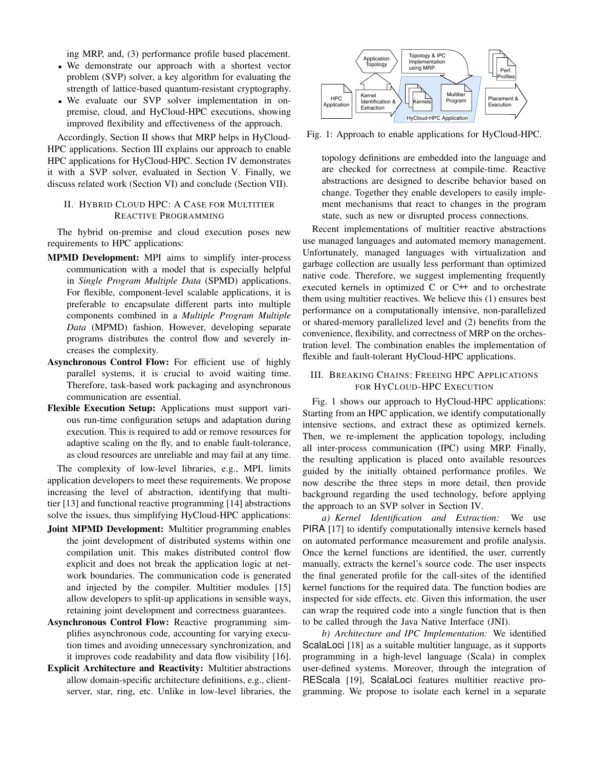ing MRP, and, (3) performance profile based placement.

- We demonstrate our approach with a shortest vector problem (SVP) solver, a key algorithm for evaluating the strength of lattice-based quantum-resistant cryptography.
- We evaluate our SVP solver implementation in onpremise, cloud, and HyCloud-HPC executions, showing improved flexibility and effectiveness of the approach.

Accordingly, [Section II](#page-1-0) shows that MRP helps in HyCloud-HPC applications. [Section III](#page-1-1) explains our approach to enable HPC applications for HyCloud-HPC. [Section IV](#page-3-0) demonstrates it with a SVP solver, evaluated in [Section V.](#page-4-0) Finally, we discuss related work [\(Section VI\)](#page-4-1) and conclude [\(Section VII\)](#page-5-11).

# <span id="page-1-0"></span>II. HYBRID CLOUD HPC: A CASE FOR MULTITIER REACTIVE PROGRAMMING

The hybrid on-premise and cloud execution poses new requirements to HPC applications:

- MPMD Development: MPI aims to simplify inter-process communication with a model that is especially helpful in *Single Program Multiple Data* (SPMD) applications. For flexible, component-level scalable applications, it is preferable to encapsulate different parts into multiple components combined in a *Multiple Program Multiple Data* (MPMD) fashion. However, developing separate programs distributes the control flow and severely increases the complexity.
- Asynchronous Control Flow: For efficient use of highly parallel systems, it is crucial to avoid waiting time. Therefore, task-based work packaging and asynchronous communication are essential.
- Flexible Execution Setup: Applications must support various run-time configuration setups and adaptation during execution. This is required to add or remove resources for adaptive scaling on the fly, and to enable fault-tolerance, as cloud resources are unreliable and may fail at any time.

The complexity of low-level libraries, e.g., MPI, limits application developers to meet these requirements. We propose increasing the level of abstraction, identifying that multitier [\[13\]](#page-5-10) and functional reactive programming [\[14\]](#page-5-12) abstractions solve the issues, thus simplifying HyCloud-HPC applications:

- Joint MPMD Development: Multitier programming enables the joint development of distributed systems within one compilation unit. This makes distributed control flow explicit and does not break the application logic at network boundaries. The communication code is generated and injected by the compiler. Multitier modules [\[15\]](#page-5-13) allow developers to split-up applications in sensible ways, retaining joint development and correctness guarantees.
- Asynchronous Control Flow: Reactive programming simplifies asynchronous code, accounting for varying execution times and avoiding unnecessary synchronization, and it improves code readability and data flow visibility [\[16\]](#page-5-14).
- Explicit Architecture and Reactivity: Multitier abstractions allow domain-specific architecture definitions, e.g., clientserver, star, ring, etc. Unlike in low-level libraries, the

<span id="page-1-2"></span>

Fig. 1: Approach to enable applications for HyCloud-HPC.

topology definitions are embedded into the language and are checked for correctness at compile-time. Reactive abstractions are designed to describe behavior based on change. Together they enable developers to easily implement mechanisms that react to changes in the program state, such as new or disrupted process connections.

Recent implementations of multitier reactive abstractions use managed languages and automated memory management. Unfortunately, managed languages with virtualization and garbage collection are usually less performant than optimized native code. Therefore, we suggest implementing frequently executed kernels in optimized  $C$  or  $C++$  and to orchestrate them using multitier reactives. We believe this (1) ensures best performance on a computationally intensive, non-parallelized or shared-memory parallelized level and (2) benefits from the convenience, flexibility, and correctness of MRP on the orchestration level. The combination enables the implementation of flexible and fault-tolerant HyCloud-HPC applications.

# <span id="page-1-1"></span>III. BREAKING CHAINS: FREEING HPC APPLICATIONS FOR HYCLOUD-HPC EXECUTION

[Fig. 1](#page-1-2) shows our approach to HyCloud-HPC applications: Starting from an HPC application, we identify computationally intensive sections, and extract these as optimized kernels. Then, we re-implement the application topology, including all inter-process communication (IPC) using MRP. Finally, the resulting application is placed onto available resources guided by the initially obtained performance profiles. We now describe the three steps in more detail, then provide background regarding the used technology, before applying the approach to an SVP solver in [Section IV.](#page-3-0)

*a) Kernel Identification and Extraction:* We use PIRA [\[17\]](#page-5-15) to identify computationally intensive kernels based on automated performance measurement and profile analysis. Once the kernel functions are identified, the user, currently manually, extracts the kernel's source code. The user inspects the final generated profile for the call-sites of the identified kernel functions for the required data. The function bodies are inspected for side effects, etc. Given this information, the user can wrap the required code into a single function that is then to be called through the Java Native Interface (JNI).

*b) Architecture and IPC Implementation:* We identified ScalaLoci [\[18\]](#page-5-16) as a suitable multitier language, as it supports programming in a high-level language (Scala) in complex user-defined systems. Moreover, through the integration of REScala [\[19\]](#page-5-17), ScalaLoci features multitier reactive programming. We propose to isolate each kernel in a separate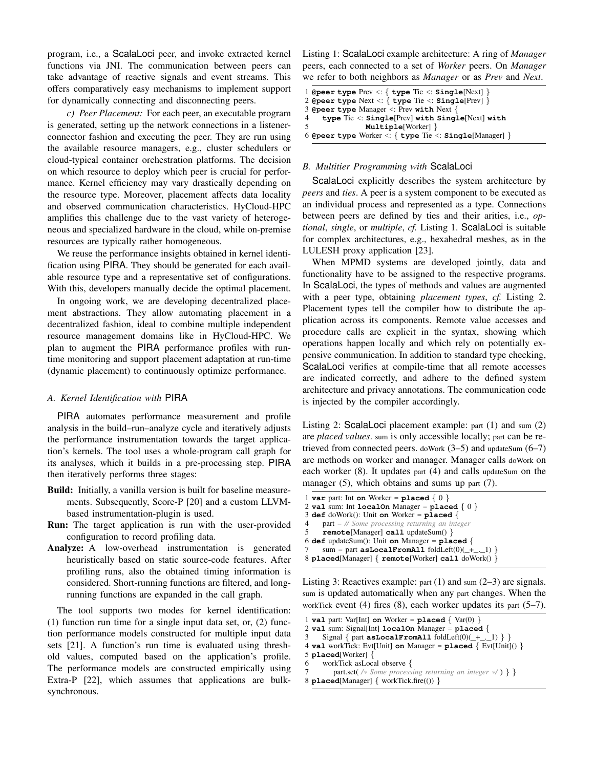program, i.e., a ScalaLoci peer, and invoke extracted kernel functions via JNI. The communication between peers can take advantage of reactive signals and event streams. This offers comparatively easy mechanisms to implement support for dynamically connecting and disconnecting peers.

*c) Peer Placement:* For each peer, an executable program is generated, setting up the network connections in a listenerconnector fashion and executing the peer. They are run using the available resource managers, e.g., cluster schedulers or cloud-typical container orchestration platforms. The decision on which resource to deploy which peer is crucial for performance. Kernel efficiency may vary drastically depending on the resource type. Moreover, placement affects data locality and observed communication characteristics. HyCloud-HPC amplifies this challenge due to the vast variety of heterogeneous and specialized hardware in the cloud, while on-premise resources are typically rather homogeneous.

We reuse the performance insights obtained in kernel identification using PIRA. They should be generated for each available resource type and a representative set of configurations. With this, developers manually decide the optimal placement.

In ongoing work, we are developing decentralized placement abstractions. They allow automating placement in a decentralized fashion, ideal to combine multiple independent resource management domains like in HyCloud-HPC. We plan to augment the PIRA performance profiles with runtime monitoring and support placement adaptation at run-time (dynamic placement) to continuously optimize performance.

## *A. Kernel Identification with* PIRA

PIRA automates performance measurement and profile analysis in the build–run–analyze cycle and iteratively adjusts the performance instrumentation towards the target application's kernels. The tool uses a whole-program call graph for its analyses, which it builds in a pre-processing step. PIRA then iteratively performs three stages:

- Build: Initially, a vanilla version is built for baseline measurements. Subsequently, Score-P [\[20\]](#page-5-18) and a custom LLVMbased instrumentation-plugin is used.
- Run: The target application is run with the user-provided configuration to record profiling data.
- Analyze: A low-overhead instrumentation is generated heuristically based on static source-code features. After profiling runs, also the obtained timing information is considered. Short-running functions are filtered, and longrunning functions are expanded in the call graph.

The tool supports two modes for kernel identification: (1) function run time for a single input data set, or, (2) function performance models constructed for multiple input data sets [\[21\]](#page-5-19). A function's run time is evaluated using threshold values, computed based on the application's profile. The performance models are constructed empirically using Extra-P [\[22\]](#page-5-20), which assumes that applications are bulksynchronous.

Listing 1: ScalaLoci example architecture: A ring of *Manager* peers, each connected to a set of *Worker* peers. On *Manager* we refer to both neighbors as *Manager* or as *Prev* and *Next*.

```
1 @peer type Prev <: { type Tie <: Single[Next] }
2 @peer type Next <: { type Tie <: Single[Prev] }
3 @peer type Manager <: Prev with Next {
4 type Tie <: Single[Prev] with Single[Next] with
               5 Multiple[Worker] }
6 @peer type Worker <: { type Tie <: Single[Manager] }
```
# *B. Multitier Programming with* ScalaLoci

ScalaLoci explicitly describes the system architecture by *peers* and *ties*. A peer is a system component to be executed as an individual process and represented as a type. Connections between peers are defined by ties and their arities, i.e., *optional*, *single*, or *multiple*, *cf.* [Listing 1.](#page-2-0) ScalaLoci is suitable for complex architectures, e.g., hexahedral meshes, as in the LULESH proxy application [\[23\]](#page-5-21).

When MPMD systems are developed jointly, data and functionality have to be assigned to the respective programs. In ScalaLoci, the types of methods and values are augmented with a peer type, obtaining *placement types*, *cf.* [Listing 2.](#page-2-1) Placement types tell the compiler how to distribute the application across its components. Remote value accesses and procedure calls are explicit in the syntax, showing which operations happen locally and which rely on potentially expensive communication. In addition to standard type checking, ScalaLoci verifies at compile-time that all remote accesses are indicated correctly, and adhere to the defined system architecture and privacy annotations. The communication code is injected by the compiler accordingly.

Listing 2: ScalaLoci placement example: part (1) and sum (2) are *placed values*. sum is only accessible locally; part can be retrieved from connected peers. doWork  $(3-5)$  and updateSum  $(6-7)$ are methods on worker and manager. Manager calls doWork on each worker (8). It updates part (4) and calls updateSum on the manager (5), which obtains and sums up part (7).

- <span id="page-2-1"></span>1 **var** part: Int **on** Worker =  $plane$  { 0 } 2 **val** sum: Int  $localOn Manager = placed { 0 }$
- 3 **def** doWork(): Unit **on** Worker = **placed** {

4 part = *// Some processing returning an integer* 5 **remote**[Manager] **call** updateSum() }

```
6 def updateSum(): Unit on Manager = placed {
```

```
sum = part asLocalFromAll foldLeft(0)(+_._1) }
```

```
8 placed[Manager] { remote[Worker] call doWork() }
```
Listing 3: Reactives example: part (1) and sum (2–3) are signals. sum is updated automatically when any part changes. When the workTick event  $(4)$  fires  $(8)$ , each worker updates its part  $(5-7)$ .

```
1 val part: Var[Int] on Worker = placed { Var(0) }
```

```
2 val sum: Signal[Int] localOn Manager = placed {
```

```
Signal { part <b>asLocalFromAll</b> <math>foldLeft(0)(\_\,\_\,\_1)\ }
```

```
4 val workTick: Evt[Unit] on Manager = placed { Evt[Unit]() }
```

```
5 placed[Worker] {
    workTick asLocal observe {
```

```
7 part.set( /* Some processing returning an integer */ ) } }
```

```
8 placed[Manager] { workTick.fire(()) }
```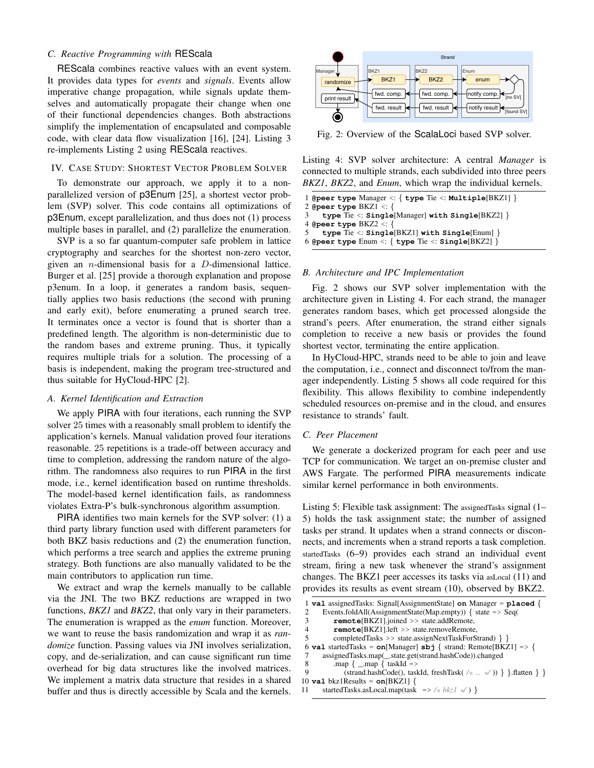# *C. Reactive Programming with* REScala

REScala combines reactive values with an event system. It provides data types for *events* and *signals*. Events allow imperative change propagation, while signals update themselves and automatically propagate their change when one of their functional dependencies changes. Both abstractions simplify the implementation of encapsulated and composable code, with clear data flow visualization [\[16\]](#page-5-14), [\[24\]](#page-5-22). [Listing 3](#page-2-2) re-implements [Listing 2](#page-2-1) using REScala reactives.

#### <span id="page-3-0"></span>IV. CASE STUDY: SHORTEST VECTOR PROBLEM SOLVER

To demonstrate our approach, we apply it to a nonparallelized version of p3Enum [\[25\]](#page-5-23), a shortest vector problem (SVP) solver. This code contains all optimizations of p3Enum, except parallelization, and thus does not (1) process multiple bases in parallel, and (2) parallelize the enumeration.

SVP is a so far quantum-computer safe problem in lattice cryptography and searches for the shortest non-zero vector, given an *n*-dimensional basis for a  $D$ -dimensional lattice. Burger et al. [\[25\]](#page-5-23) provide a thorough explanation and propose p3enum. In a loop, it generates a random basis, sequentially applies two basis reductions (the second with pruning and early exit), before enumerating a pruned search tree. It terminates once a vector is found that is shorter than a predefined length. The algorithm is non-deterministic due to the random bases and extreme pruning. Thus, it typically requires multiple trials for a solution. The processing of a basis is independent, making the program tree-structured and thus suitable for HyCloud-HPC [\[2\]](#page-5-24).

## *A. Kernel Identification and Extraction*

We apply PIRA with four iterations, each running the SVP solver 25 times with a reasonably small problem to identify the application's kernels. Manual validation proved four iterations reasonable. 25 repetitions is a trade-off between accuracy and time to completion, addressing the random nature of the algorithm. The randomness also requires to run PIRA in the first mode, i.e., kernel identification based on runtime thresholds. The model-based kernel identification fails, as randomness violates Extra-P's bulk-synchronous algorithm assumption.

PIRA identifies two main kernels for the SVP solver: (1) a third party library function used with different parameters for both BKZ basis reductions and (2) the enumeration function, which performs a tree search and applies the extreme pruning strategy. Both functions are also manually validated to be the main contributors to application run time.

We extract and wrap the kernels manually to be callable via the JNI. The two BKZ reductions are wrapped in two functions, *BKZ1* and *BKZ2*, that only vary in their parameters. The enumeration is wrapped as the *enum* function. Moreover, we want to reuse the basis randomization and wrap it as *randomize* function. Passing values via JNI involves serialization, copy, and de-serialization, and can cause significant run time overhead for big data structures like the involved matrices. We implement a matrix data structure that resides in a shared buffer and thus is directly accessible by Scala and the kernels.

<span id="page-3-1"></span>

Fig. 2: Overview of the ScalaLoci based SVP solver.

Listing 4: SVP solver architecture: A central *Manager* is connected to multiple strands, each subdivided into three peers *BKZ1*, *BKZ2*, and *Enum*, which wrap the individual kernels.

```
1 @peer type Manager <: { type Tie <: Multiple[BKZ1] }
 2 @peer type BKZ1 <: {
3 type Tie <: Single[Manager] with Single[BKZ2] }
4 @peer type BKZ2 <: {
5 type Tie <: Single[BKZ1] with Single[Enum] }
6 @peer type Enum <: { type Tie <: Single[BKZ2] }
```
# *B. Architecture and IPC Implementation*

[Fig. 2](#page-3-1) shows our SVP solver implementation with the architecture given in [Listing 4.](#page-3-2) For each strand, the manager generates random bases, which get processed alongside the strand's peers. After enumeration, the strand either signals completion to receive a new basis or provides the found shortest vector, terminating the entire application.

In HyCloud-HPC, strands need to be able to join and leave the computation, i.e., connect and disconnect to/from the manager independently. [Listing 5](#page-3-3) shows all code required for this flexibility. This allows flexibility to combine independently scheduled resources on-premise and in the cloud, and ensures resistance to strands' fault.

#### <span id="page-3-4"></span>*C. Peer Placement*

We generate a dockerized program for each peer and use TCP for communication. We target an on-premise cluster and AWS Fargate. The performed PIRA measurements indicate similar kernel performance in both environments.

Listing 5: Flexible task assignment: The assignedTasks signal (1– 5) holds the task assignment state; the number of assigned tasks per strand. It updates when a strand connects or disconnects, and increments when a strand reports a task completion. startedTasks (6–9) provides each strand an individual event stream, firing a new task whenever the strand's assignment changes. The BKZ1 peer accesses its tasks via asLocal (11) and provides its results as event stream (10), observed by BKZ2.

```
1 val assignedTasks: Signal[AssignmentState] on Manager = placed {
 2 Events.foldAll(AssignmentState(Map.empty)) { state => Seq(
 3 remote[BKZ1].joined >> state.addRemote,
 4 remote[BKZ1].left >> state.removeRemote,
 5 completedTasks >> state.assignNextTaskForStrand) } }
 6 val startedTasks = on[Manager] sbj { strand: Remote[BKZ1] => {
 7 assignedTasks.map(_.state.get(strand.hashCode)).changed
 8 .map \{ \_\map \} taskId =>
 9 (strand.hashCode(), taskId, freshTask( /* ... */ )) } }.flatten } }
10 \text{val} bkz1Results = \text{on}[BKZ1]11 startedTasks.asLocal.map(task => /* bkz1 */ ) }
```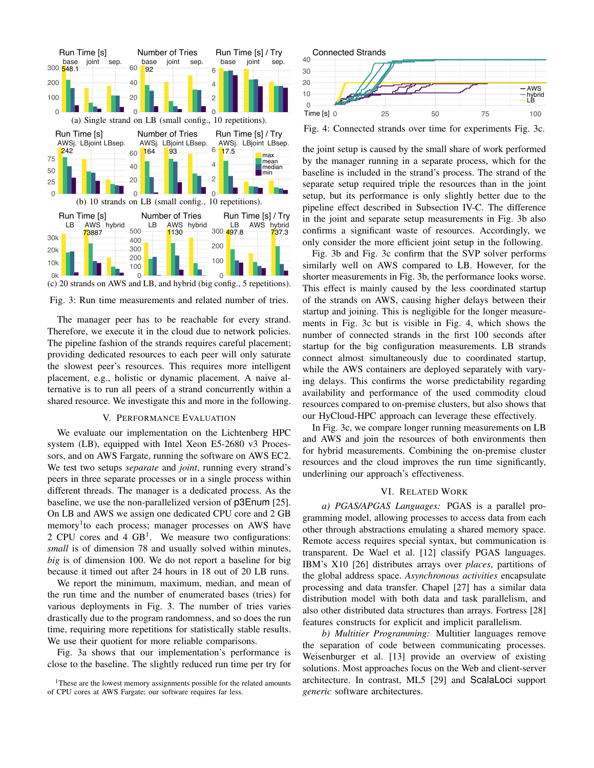<span id="page-4-3"></span>

(c) 20 strands on AWS and LB, and hybrid (big config., 5 repetitions).

Fig. 3: Run time measurements and related number of tries.

The manager peer has to be reachable for every strand. Therefore, we execute it in the cloud due to network policies. The pipeline fashion of the strands requires careful placement; providing dedicated resources to each peer will only saturate the slowest peer's resources. This requires more intelligent placement, e.g., holistic or dynamic placement. A naive alternative is to run all peers of a strand concurrently within a shared resource. We investigate this and more in the following.

#### V. PERFORMANCE EVALUATION

<span id="page-4-0"></span>We evaluate our implementation on the Lichtenberg HPC system (LB), equipped with Intel Xeon E5-2680 v3 Processors, and on AWS Fargate, running the software on AWS EC2. We test two setups *separate* and *joint*, running every strand's peers in three separate processes or in a single process within different threads. The manager is a dedicated process. As the baseline, we use the non-parallelized version of p3Enum [\[25\]](#page-5-23). On LB and AWS we assign one dedicated CPU core and 2 GB memory<sup>[1](#page-4-2)</sup> to each process; manager processes on AWS have 2 CPU cores and  $4 \text{ GB}^1$ . We measure two configurations: *small* is of dimension 78 and usually solved within minutes, *big* is of dimension 100. We do not report a baseline for big because it timed out after 24 hours in 18 out of 20 LB runs.

We report the minimum, maximum, median, and mean of the run time and the number of enumerated bases (tries) for various deployments in [Fig. 3.](#page-4-3) The number of tries varies drastically due to the program randomness, and so does the run time, requiring more repetitions for statistically stable results. We use their quotient for more reliable comparisons.

[Fig. 3a](#page-4-3) shows that our implementation's performance is close to the baseline. The slightly reduced run time per try for

<span id="page-4-4"></span>

Fig. 4: Connected strands over time for experiments [Fig. 3c.](#page-4-3)

the joint setup is caused by the small share of work performed by the manager running in a separate process, which for the baseline is included in the strand's process. The strand of the separate setup required triple the resources than in the joint setup, but its performance is only slightly better due to the pipeline effect described in [Subsection IV-C.](#page-3-4) The difference in the joint and separate setup measurements in [Fig. 3b](#page-4-3) also confirms a significant waste of resources. Accordingly, we only consider the more efficient joint setup in the following.

[Fig. 3b](#page-4-3) and [Fig. 3c](#page-4-3) confirm that the SVP solver performs similarly well on AWS compared to LB. However, for the shorter measurements in [Fig. 3b,](#page-4-3) the performance looks worse. This effect is mainly caused by the less coordinated startup of the strands on AWS, causing higher delays between their startup and joining. This is negligible for the longer measurements in [Fig. 3c](#page-4-3) but is visible in [Fig. 4,](#page-4-4) which shows the number of connected strands in the first 100 seconds after startup for the big configuration measurements. LB strands connect almost simultaneously due to coordinated startup, while the AWS containers are deployed separately with varying delays. This confirms the worse predictability regarding availability and performance of the used commodity cloud resources compared to on-premise clusters, but also shows that our HyCloud-HPC approach can leverage these effectively.

In [Fig. 3c,](#page-4-3) we compare longer running measurements on LB and AWS and join the resources of both environments then for hybrid measurements. Combining the on-premise cluster resources and the cloud improves the run time significantly, underlining our approach's effectiveness.

#### VI. RELATED WORK

<span id="page-4-1"></span>*a) PGAS/APGAS Languages:* PGAS is a parallel programming model, allowing processes to access data from each other through abstractions emulating a shared memory space. Remote access requires special syntax, but communication is transparent. De Wael et al. [\[12\]](#page-5-9) classify PGAS languages. IBM's X10 [\[26\]](#page-5-25) distributes arrays over *places*, partitions of the global address space. *Asynchronous activities* encapsulate processing and data transfer. Chapel [\[27\]](#page-5-26) has a similar data distribution model with both data and task parallelism, and also other distributed data structures than arrays. Fortress [\[28\]](#page-5-27) features constructs for explicit and implicit parallelism.

*b) Multitier Programming:* Multitier languages remove the separation of code between communicating processes. Weisenburger et al. [\[13\]](#page-5-10) provide an overview of existing solutions. Most approaches focus on the Web and client-server architecture. In contrast, ML5 [\[29\]](#page-5-28) and ScalaLoci support *generic* software architectures.

<span id="page-4-2"></span><sup>&</sup>lt;sup>1</sup>These are the lowest memory assignments possible for the related amounts of CPU cores at AWS Fargate; our software requires far less.